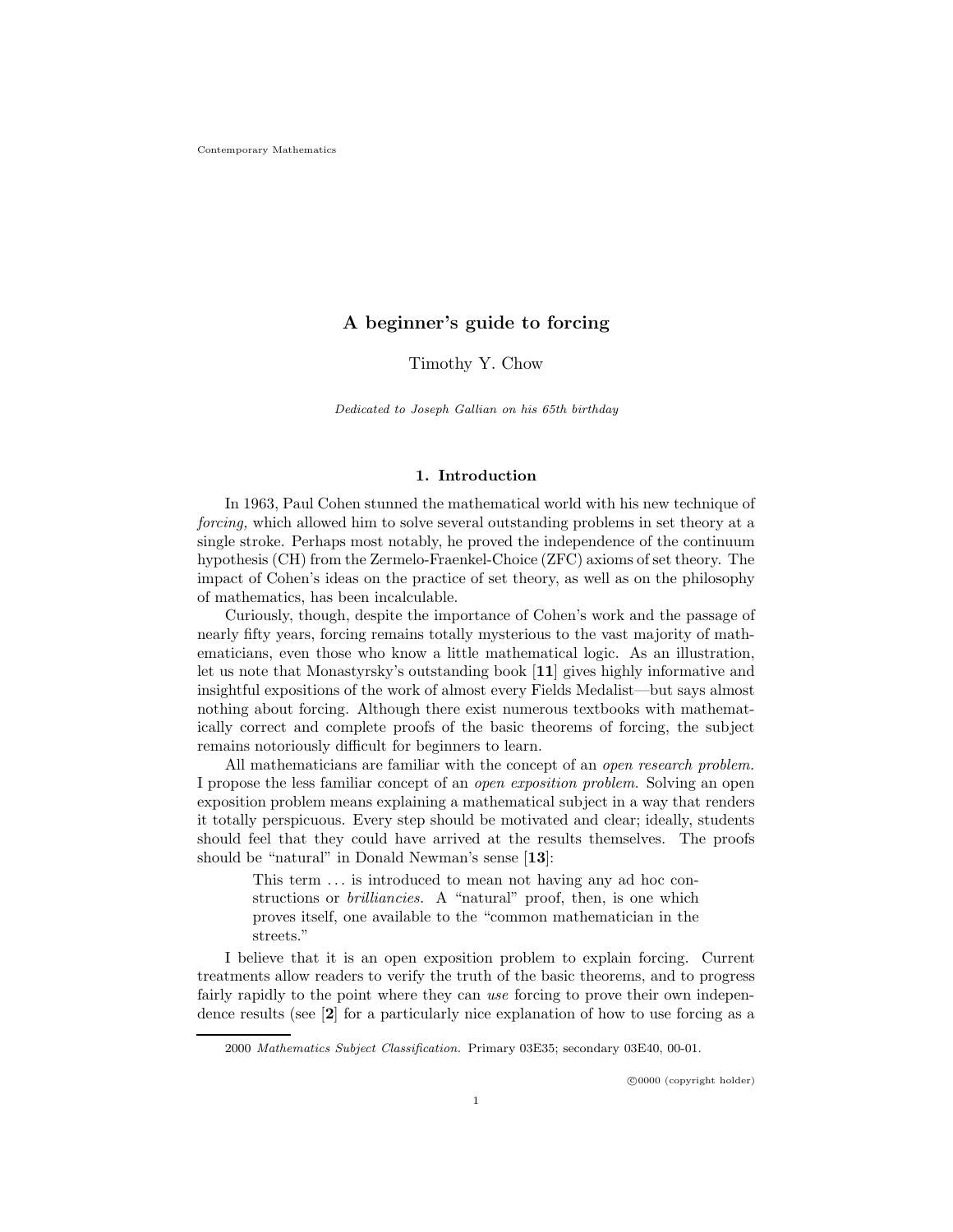# A beginner's guide to forcing

Timothy Y. Chow

Dedicated to Joseph Gallian on his 65th birthday

## 1. Introduction

In 1963, Paul Cohen stunned the mathematical world with his new technique of forcing, which allowed him to solve several outstanding problems in set theory at a single stroke. Perhaps most notably, he proved the independence of the continuum hypothesis (CH) from the Zermelo-Fraenkel-Choice (ZFC) axioms of set theory. The impact of Cohen's ideas on the practice of set theory, as well as on the philosophy of mathematics, has been incalculable.

Curiously, though, despite the importance of Cohen's work and the passage of nearly fifty years, forcing remains totally mysterious to the vast majority of mathematicians, even those who know a little mathematical logic. As an illustration, let us note that Monastyrsky's outstanding book [11] gives highly informative and insightful expositions of the work of almost every Fields Medalist—but says almost nothing about forcing. Although there exist numerous textbooks with mathematically correct and complete proofs of the basic theorems of forcing, the subject remains notoriously difficult for beginners to learn.

All mathematicians are familiar with the concept of an *open research problem*. I propose the less familiar concept of an open exposition problem. Solving an open exposition problem means explaining a mathematical subject in a way that renders it totally perspicuous. Every step should be motivated and clear; ideally, students should feel that they could have arrived at the results themselves. The proofs should be "natural" in Donald Newman's sense [13]:

This term  $\dots$  is introduced to mean not having any ad hoc constructions or brilliancies. A "natural" proof, then, is one which proves itself, one available to the "common mathematician in the streets."

I believe that it is an open exposition problem to explain forcing. Current treatments allow readers to verify the truth of the basic theorems, and to progress fairly rapidly to the point where they can use forcing to prove their own independence results (see [2] for a particularly nice explanation of how to use forcing as a

<sup>2000</sup> Mathematics Subject Classification. Primary 03E35; secondary 03E40, 00-01.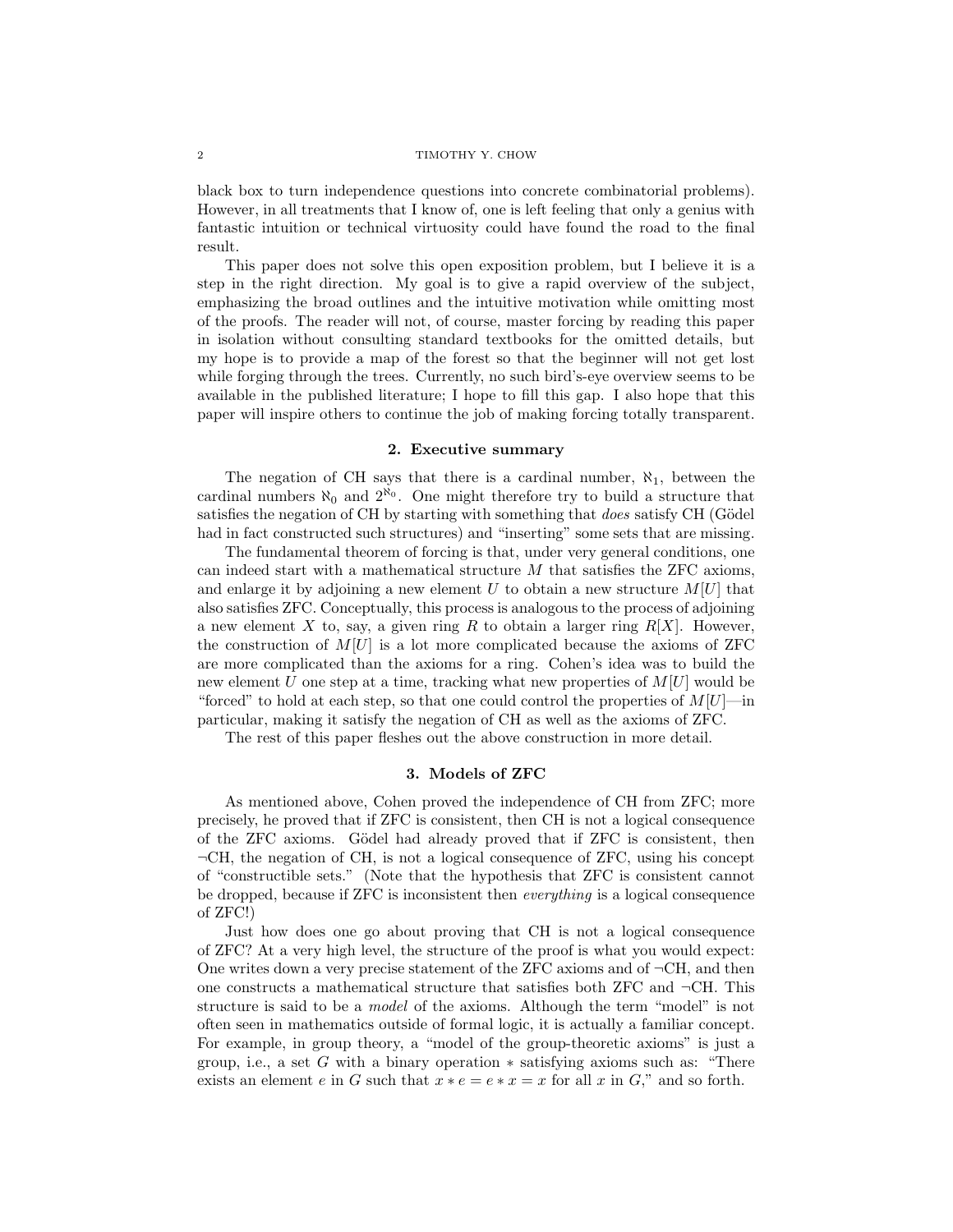### 2 TIMOTHY Y. CHOW

black box to turn independence questions into concrete combinatorial problems). However, in all treatments that I know of, one is left feeling that only a genius with fantastic intuition or technical virtuosity could have found the road to the final result.

This paper does not solve this open exposition problem, but I believe it is a step in the right direction. My goal is to give a rapid overview of the subject, emphasizing the broad outlines and the intuitive motivation while omitting most of the proofs. The reader will not, of course, master forcing by reading this paper in isolation without consulting standard textbooks for the omitted details, but my hope is to provide a map of the forest so that the beginner will not get lost while forging through the trees. Currently, no such bird's-eye overview seems to be available in the published literature; I hope to fill this gap. I also hope that this paper will inspire others to continue the job of making forcing totally transparent.

## 2. Executive summary

The negation of CH says that there is a cardinal number,  $\aleph_1$ , between the cardinal numbers  $\aleph_0$  and  $2^{\aleph_0}$ . One might therefore try to build a structure that satisfies the negation of CH by starting with something that *does* satisfy CH (Gödel had in fact constructed such structures) and "inserting" some sets that are missing.

The fundamental theorem of forcing is that, under very general conditions, one can indeed start with a mathematical structure  $M$  that satisfies the ZFC axioms, and enlarge it by adjoining a new element U to obtain a new structure  $M[U]$  that also satisfies ZFC. Conceptually, this process is analogous to the process of adjoining a new element X to, say, a given ring R to obtain a larger ring  $R[X]$ . However, the construction of  $M[U]$  is a lot more complicated because the axioms of ZFC are more complicated than the axioms for a ring. Cohen's idea was to build the new element U one step at a time, tracking what new properties of  $M[U]$  would be "forced" to hold at each step, so that one could control the properties of  $M[U]$ —in particular, making it satisfy the negation of CH as well as the axioms of ZFC.

The rest of this paper fleshes out the above construction in more detail.

## 3. Models of ZFC

As mentioned above, Cohen proved the independence of CH from ZFC; more precisely, he proved that if ZFC is consistent, then CH is not a logical consequence of the ZFC axioms. Gödel had already proved that if ZFC is consistent, then  $\neg$ CH, the negation of CH, is not a logical consequence of ZFC, using his concept of "constructible sets." (Note that the hypothesis that ZFC is consistent cannot be dropped, because if ZFC is inconsistent then everything is a logical consequence of ZFC!)

Just how does one go about proving that CH is not a logical consequence of ZFC? At a very high level, the structure of the proof is what you would expect: One writes down a very precise statement of the  $ZFC$  axioms and of  $\neg CH$ , and then one constructs a mathematical structure that satisfies both  $ZFC$  and  $\neg CH$ . This structure is said to be a model of the axioms. Although the term "model" is not often seen in mathematics outside of formal logic, it is actually a familiar concept. For example, in group theory, a "model of the group-theoretic axioms" is just a group, i.e., a set G with a binary operation  $*$  satisfying axioms such as: "There exists an element e in G such that  $x * e = e * x = x$  for all x in G," and so forth.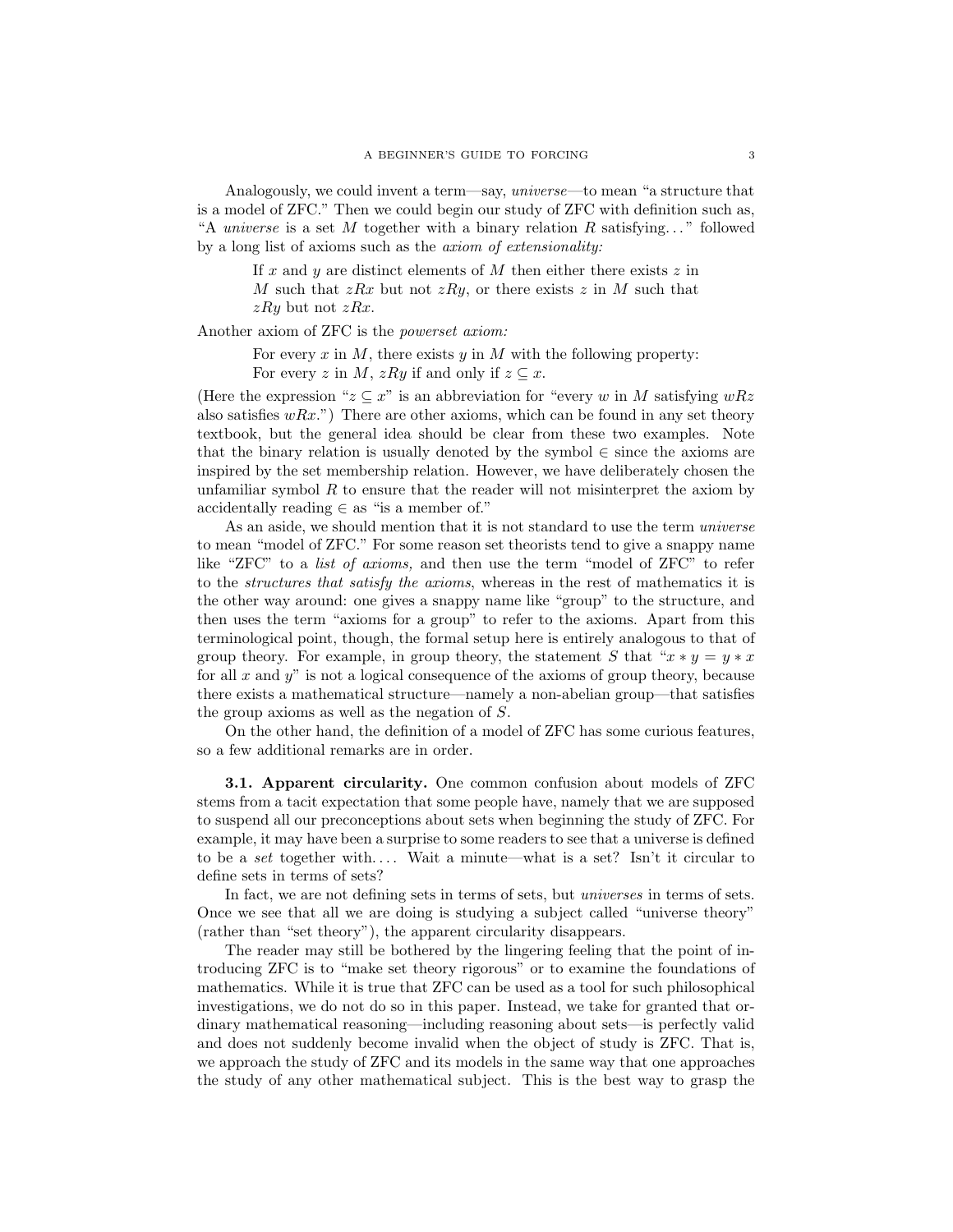Analogously, we could invent a term—say, universe—to mean "a structure that is a model of ZFC." Then we could begin our study of ZFC with definition such as, "A universe is a set M together with a binary relation R satisfying..." followed by a long list of axioms such as the axiom of extensionality:

If x and y are distinct elements of M then either there exists z in M such that  $zRx$  but not  $zRy$ , or there exists z in M such that  $zRy$  but not  $zRx$ .

Another axiom of ZFC is the powerset axiom:

For every  $x$  in  $M$ , there exists  $y$  in  $M$  with the following property:

For every z in M, zRy if and only if  $z \subseteq x$ .

(Here the expression " $z \subseteq x$ " is an abbreviation for "every w in M satisfying  $wRz$ also satisfies  $wRx$ .") There are other axioms, which can be found in any set theory textbook, but the general idea should be clear from these two examples. Note that the binary relation is usually denoted by the symbol  $\in$  since the axioms are inspired by the set membership relation. However, we have deliberately chosen the unfamiliar symbol  $R$  to ensure that the reader will not misinterpret the axiom by accidentally reading  $\in$  as "is a member of."

As an aside, we should mention that it is not standard to use the term *universe* to mean "model of ZFC." For some reason set theorists tend to give a snappy name like "ZFC" to a *list of axioms*, and then use the term "model of ZFC" to refer to the structures that satisfy the axioms, whereas in the rest of mathematics it is the other way around: one gives a snappy name like "group" to the structure, and then uses the term "axioms for a group" to refer to the axioms. Apart from this terminological point, though, the formal setup here is entirely analogous to that of group theory. For example, in group theory, the statement S that " $x * y = y * x$ for all  $x$  and  $y''$  is not a logical consequence of the axioms of group theory, because there exists a mathematical structure—namely a non-abelian group—that satisfies the group axioms as well as the negation of S.

On the other hand, the definition of a model of ZFC has some curious features, so a few additional remarks are in order.

**3.1. Apparent circularity.** One common confusion about models of ZFC stems from a tacit expectation that some people have, namely that we are supposed to suspend all our preconceptions about sets when beginning the study of ZFC. For example, it may have been a surprise to some readers to see that a universe is defined to be a set together with.... Wait a minute—what is a set? Isn't it circular to define sets in terms of sets?

In fact, we are not defining sets in terms of sets, but *universes* in terms of sets. Once we see that all we are doing is studying a subject called "universe theory" (rather than "set theory"), the apparent circularity disappears.

The reader may still be bothered by the lingering feeling that the point of introducing ZFC is to "make set theory rigorous" or to examine the foundations of mathematics. While it is true that ZFC can be used as a tool for such philosophical investigations, we do not do so in this paper. Instead, we take for granted that ordinary mathematical reasoning—including reasoning about sets—is perfectly valid and does not suddenly become invalid when the object of study is ZFC. That is, we approach the study of ZFC and its models in the same way that one approaches the study of any other mathematical subject. This is the best way to grasp the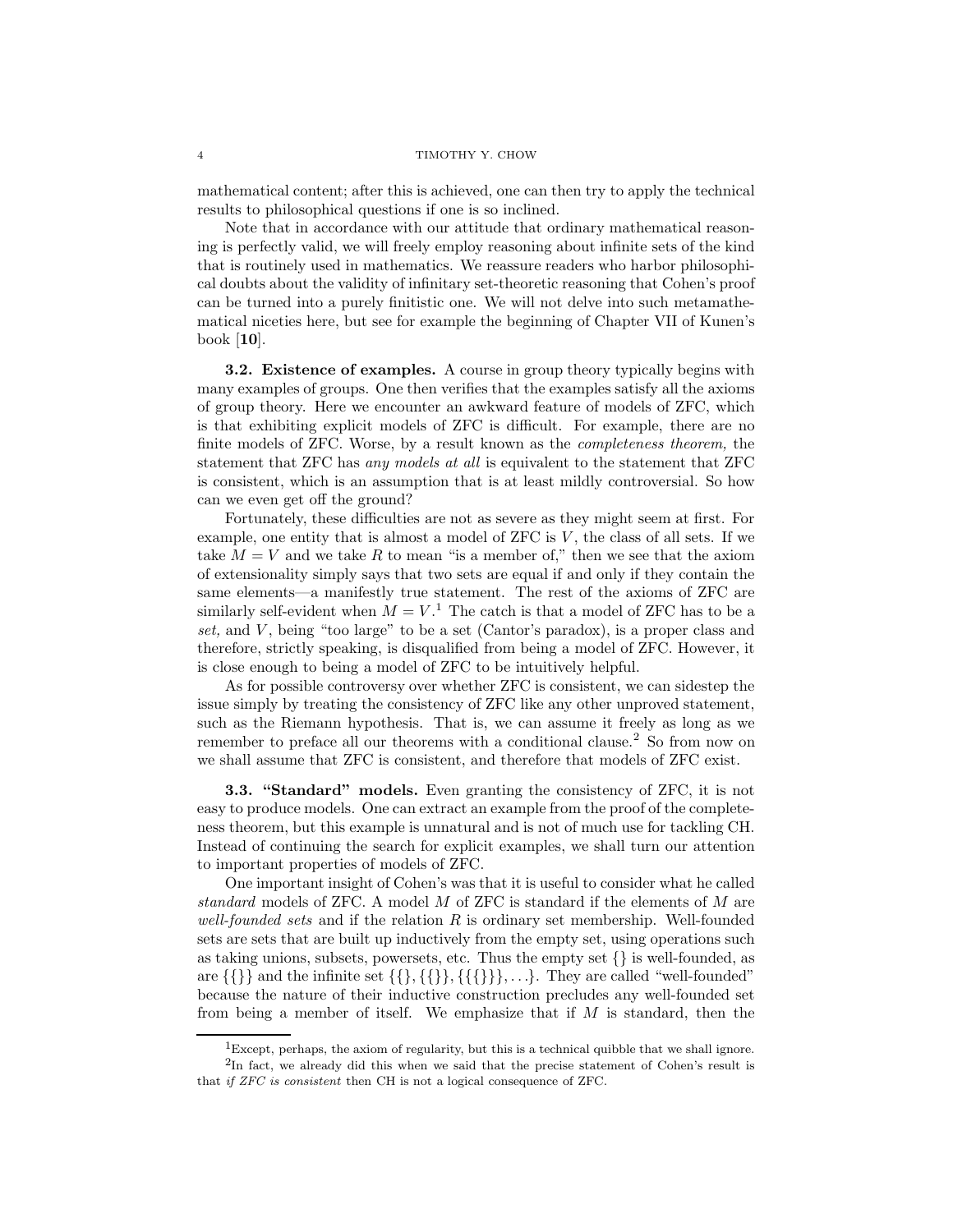mathematical content; after this is achieved, one can then try to apply the technical results to philosophical questions if one is so inclined.

Note that in accordance with our attitude that ordinary mathematical reasoning is perfectly valid, we will freely employ reasoning about infinite sets of the kind that is routinely used in mathematics. We reassure readers who harbor philosophical doubts about the validity of infinitary set-theoretic reasoning that Cohen's proof can be turned into a purely finitistic one. We will not delve into such metamathematical niceties here, but see for example the beginning of Chapter VII of Kunen's book [10].

3.2. Existence of examples. A course in group theory typically begins with many examples of groups. One then verifies that the examples satisfy all the axioms of group theory. Here we encounter an awkward feature of models of ZFC, which is that exhibiting explicit models of ZFC is difficult. For example, there are no finite models of ZFC. Worse, by a result known as the completeness theorem, the statement that ZFC has any models at all is equivalent to the statement that ZFC is consistent, which is an assumption that is at least mildly controversial. So how can we even get off the ground?

Fortunately, these difficulties are not as severe as they might seem at first. For example, one entity that is almost a model of  $ZFC$  is  $V$ , the class of all sets. If we take  $M = V$  and we take R to mean "is a member of," then we see that the axiom of extensionality simply says that two sets are equal if and only if they contain the same elements—a manifestly true statement. The rest of the axioms of ZFC are similarly self-evident when  $M = V$ .<sup>1</sup> The catch is that a model of ZFC has to be a set, and  $V$ , being "too large" to be a set (Cantor's paradox), is a proper class and therefore, strictly speaking, is disqualified from being a model of ZFC. However, it is close enough to being a model of ZFC to be intuitively helpful.

As for possible controversy over whether ZFC is consistent, we can sidestep the issue simply by treating the consistency of ZFC like any other unproved statement, such as the Riemann hypothesis. That is, we can assume it freely as long as we remember to preface all our theorems with a conditional clause.<sup>2</sup> So from now on we shall assume that ZFC is consistent, and therefore that models of ZFC exist.

3.3. "Standard" models. Even granting the consistency of ZFC, it is not easy to produce models. One can extract an example from the proof of the completeness theorem, but this example is unnatural and is not of much use for tackling CH. Instead of continuing the search for explicit examples, we shall turn our attention to important properties of models of ZFC.

One important insight of Cohen's was that it is useful to consider what he called standard models of ZFC. A model M of ZFC is standard if the elements of M are well-founded sets and if the relation  $R$  is ordinary set membership. Well-founded sets are sets that are built up inductively from the empty set, using operations such as taking unions, subsets, powersets, etc. Thus the empty set {} is well-founded, as are  $\{\{\}\}\$  and the infinite set  $\{\{\},\{\{\}\},\{\{\}\}\}\ldots\}$ . They are called "well-founded" because the nature of their inductive construction precludes any well-founded set from being a member of itself. We emphasize that if  $M$  is standard, then the

 ${}^{1}$ Except, perhaps, the axiom of regularity, but this is a technical quibble that we shall ignore.  ${}^{2}$ In fact, we already did this when we said that the precise statement of Cohen's result is that if ZFC is consistent then CH is not a logical consequence of ZFC.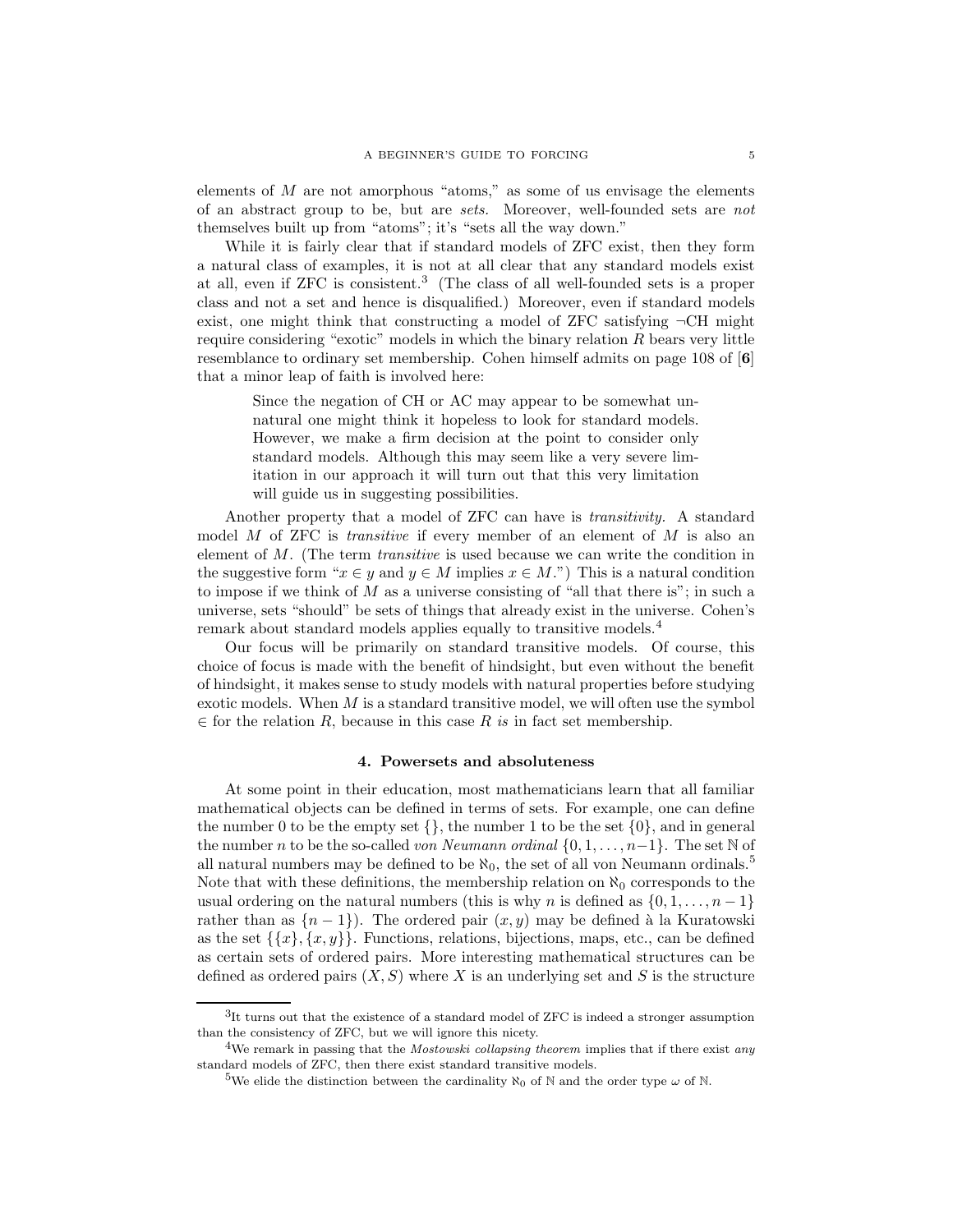elements of  $M$  are not amorphous "atoms," as some of us envisage the elements of an abstract group to be, but are sets. Moreover, well-founded sets are not themselves built up from "atoms"; it's "sets all the way down."

While it is fairly clear that if standard models of ZFC exist, then they form a natural class of examples, it is not at all clear that any standard models exist at all, even if ZFC is consistent.<sup>3</sup> (The class of all well-founded sets is a proper class and not a set and hence is disqualified.) Moreover, even if standard models exist, one might think that constructing a model of ZFC satisfying ¬CH might require considering "exotic" models in which the binary relation R bears very little resemblance to ordinary set membership. Cohen himself admits on page 108 of [6] that a minor leap of faith is involved here:

Since the negation of CH or AC may appear to be somewhat unnatural one might think it hopeless to look for standard models. However, we make a firm decision at the point to consider only standard models. Although this may seem like a very severe limitation in our approach it will turn out that this very limitation will guide us in suggesting possibilities.

Another property that a model of ZFC can have is transitivity. A standard model M of ZFC is *transitive* if every member of an element of  $M$  is also an element of M. (The term transitive is used because we can write the condition in the suggestive form " $x \in y$  and  $y \in M$  implies  $x \in M$ .") This is a natural condition to impose if we think of  $M$  as a universe consisting of "all that there is"; in such a universe, sets "should" be sets of things that already exist in the universe. Cohen's remark about standard models applies equally to transitive models.<sup>4</sup>

Our focus will be primarily on standard transitive models. Of course, this choice of focus is made with the benefit of hindsight, but even without the benefit of hindsight, it makes sense to study models with natural properties before studying exotic models. When  $M$  is a standard transitive model, we will often use the symbol  $\epsilon$  for the relation R, because in this case R is in fact set membership.

# 4. Powersets and absoluteness

At some point in their education, most mathematicians learn that all familiar mathematical objects can be defined in terms of sets. For example, one can define the number 0 to be the empty set  $\{\}$ , the number 1 to be the set  $\{0\}$ , and in general the number n to be the so-called von Neumann ordinal  $\{0, 1, \ldots, n-1\}$ . The set N of all natural numbers may be defined to be  $\aleph_0$ , the set of all von Neumann ordinals.<sup>5</sup> Note that with these definitions, the membership relation on  $\aleph_0$  corresponds to the usual ordering on the natural numbers (this is why n is defined as  $\{0, 1, \ldots, n-1\}$ rather than as  $\{n-1\}$ ). The ordered pair  $(x, y)$  may be defined à la Kuratowski as the set  $\{\{x\}, \{x, y\}\}\.$  Functions, relations, bijections, maps, etc., can be defined as certain sets of ordered pairs. More interesting mathematical structures can be defined as ordered pairs  $(X, S)$  where X is an underlying set and S is the structure

<sup>&</sup>lt;sup>3</sup>It turns out that the existence of a standard model of ZFC is indeed a stronger assumption than the consistency of ZFC, but we will ignore this nicety.

<sup>&</sup>lt;sup>4</sup>We remark in passing that the *Mostowski collapsing theorem* implies that if there exist any standard models of ZFC, then there exist standard transitive models.

<sup>&</sup>lt;sup>5</sup>We elide the distinction between the cardinality  $\aleph_0$  of  $\mathbb N$  and the order type  $\omega$  of  $\mathbb N$ .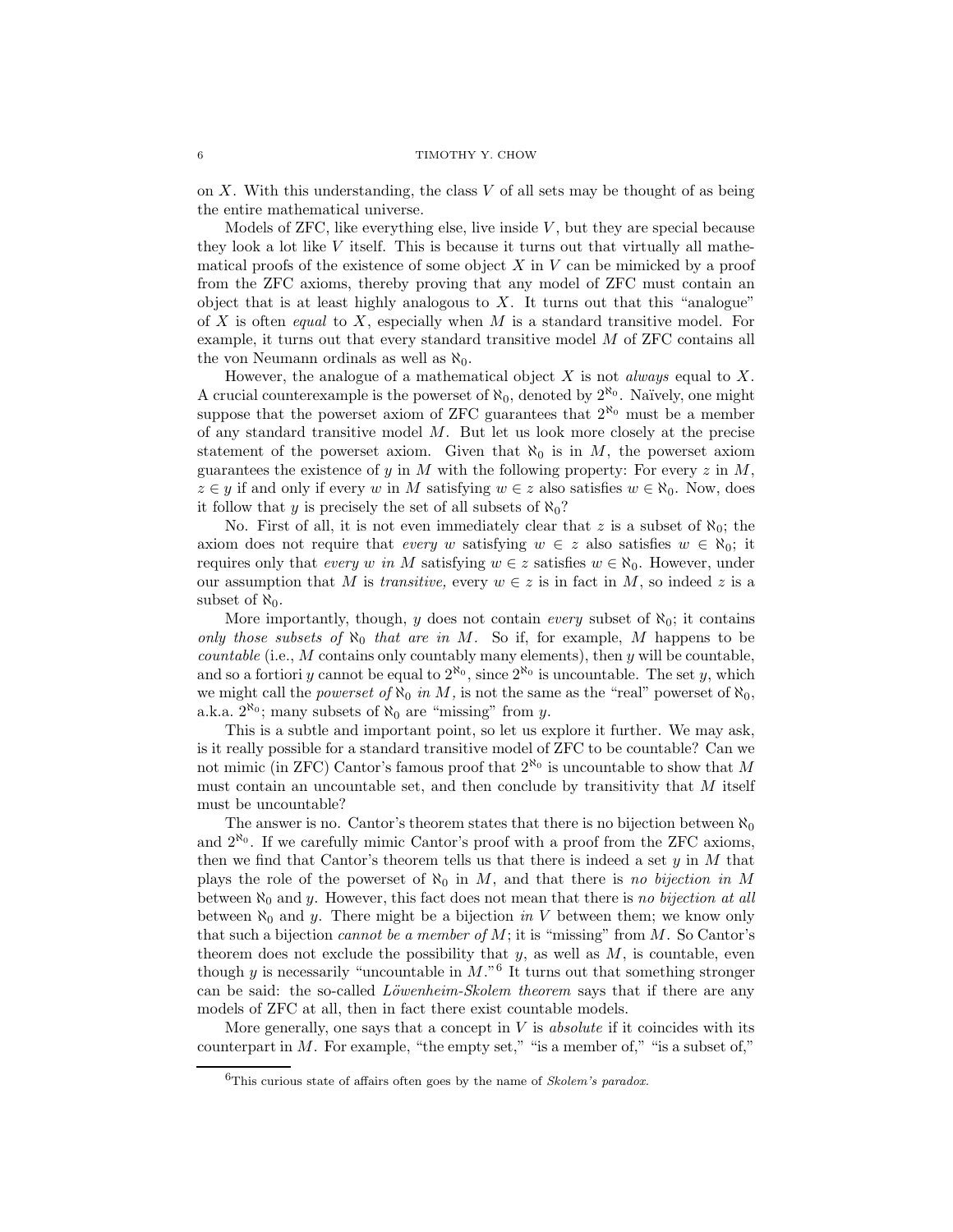on  $X$ . With this understanding, the class  $V$  of all sets may be thought of as being the entire mathematical universe.

Models of ZFC, like everything else, live inside  $V$ , but they are special because they look a lot like  $V$  itself. This is because it turns out that virtually all mathematical proofs of the existence of some object  $X$  in  $V$  can be mimicked by a proof from the ZFC axioms, thereby proving that any model of ZFC must contain an object that is at least highly analogous to  $X$ . It turns out that this "analogue" of X is often *equal* to X, especially when M is a standard transitive model. For example, it turns out that every standard transitive model M of ZFC contains all the von Neumann ordinals as well as  $\aleph_0$ .

However, the analogue of a mathematical object  $X$  is not *always* equal to  $X$ . A crucial counterexample is the powerset of  $\aleph_0$ , denoted by  $2^{\aleph_0}$ . Naïvely, one might suppose that the powerset axiom of ZFC guarantees that  $2^{\aleph_0}$  must be a member of any standard transitive model M. But let us look more closely at the precise statement of the powerset axiom. Given that  $\aleph_0$  is in M, the powerset axiom guarantees the existence of y in M with the following property: For every  $z$  in  $M$ ,  $z \in y$  if and only if every w in M satisfying  $w \in z$  also satisfies  $w \in \aleph_0$ . Now, does it follow that y is precisely the set of all subsets of  $\aleph_0$ ?

No. First of all, it is not even immediately clear that z is a subset of  $\aleph_0$ ; the axiom does not require that every w satisfying  $w \in z$  also satisfies  $w \in \aleph_0$ ; it requires only that every w in M satisfying  $w \in z$  satisfies  $w \in \aleph_0$ . However, under our assumption that M is transitive, every  $w \in z$  is in fact in M, so indeed z is a subset of  $\aleph_0$ .

More importantly, though, y does not contain *every* subset of  $\aleph_0$ ; it contains only those subsets of  $\aleph_0$  that are in M. So if, for example, M happens to be *countable* (i.e.,  $M$  contains only countably many elements), then  $y$  will be countable, and so a fortiori y cannot be equal to  $2^{\aleph_0}$ , since  $2^{\aleph_0}$  is uncountable. The set y, which we might call the *powerset of*  $\aleph_0$  in M, is not the same as the "real" powerset of  $\aleph_0$ , a.k.a.  $2^{\aleph_0}$ ; many subsets of  $\aleph_0$  are "missing" from y.

This is a subtle and important point, so let us explore it further. We may ask, is it really possible for a standard transitive model of ZFC to be countable? Can we not mimic (in ZFC) Cantor's famous proof that  $2^{\aleph_0}$  is uncountable to show that M must contain an uncountable set, and then conclude by transitivity that  $M$  itself must be uncountable?

The answer is no. Cantor's theorem states that there is no bijection between  $\aleph_0$ and  $2^{\aleph_0}$ . If we carefully mimic Cantor's proof with a proof from the ZFC axioms, then we find that Cantor's theorem tells us that there is indeed a set  $y$  in  $M$  that plays the role of the powerset of  $\aleph_0$  in M, and that there is no bijection in M between  $\aleph_0$  and y. However, this fact does not mean that there is no bijection at all between  $\aleph_0$  and y. There might be a bijection in V between them; we know only that such a bijection *cannot be a member of M*; it is "missing" from  $M$ . So Cantor's theorem does not exclude the possibility that  $y$ , as well as  $M$ , is countable, even though  $y$  is necessarily "uncountable in  $M$ ."<sup>6</sup> It turns out that something stronger can be said: the so-called *Löwenheim-Skolem theorem* says that if there are any models of ZFC at all, then in fact there exist countable models.

More generally, one says that a concept in  $V$  is *absolute* if it coincides with its counterpart in  $M$ . For example, "the empty set," "is a member of," "is a subset of,"

 $6$ This curious state of affairs often goes by the name of *Skolem's paradox*.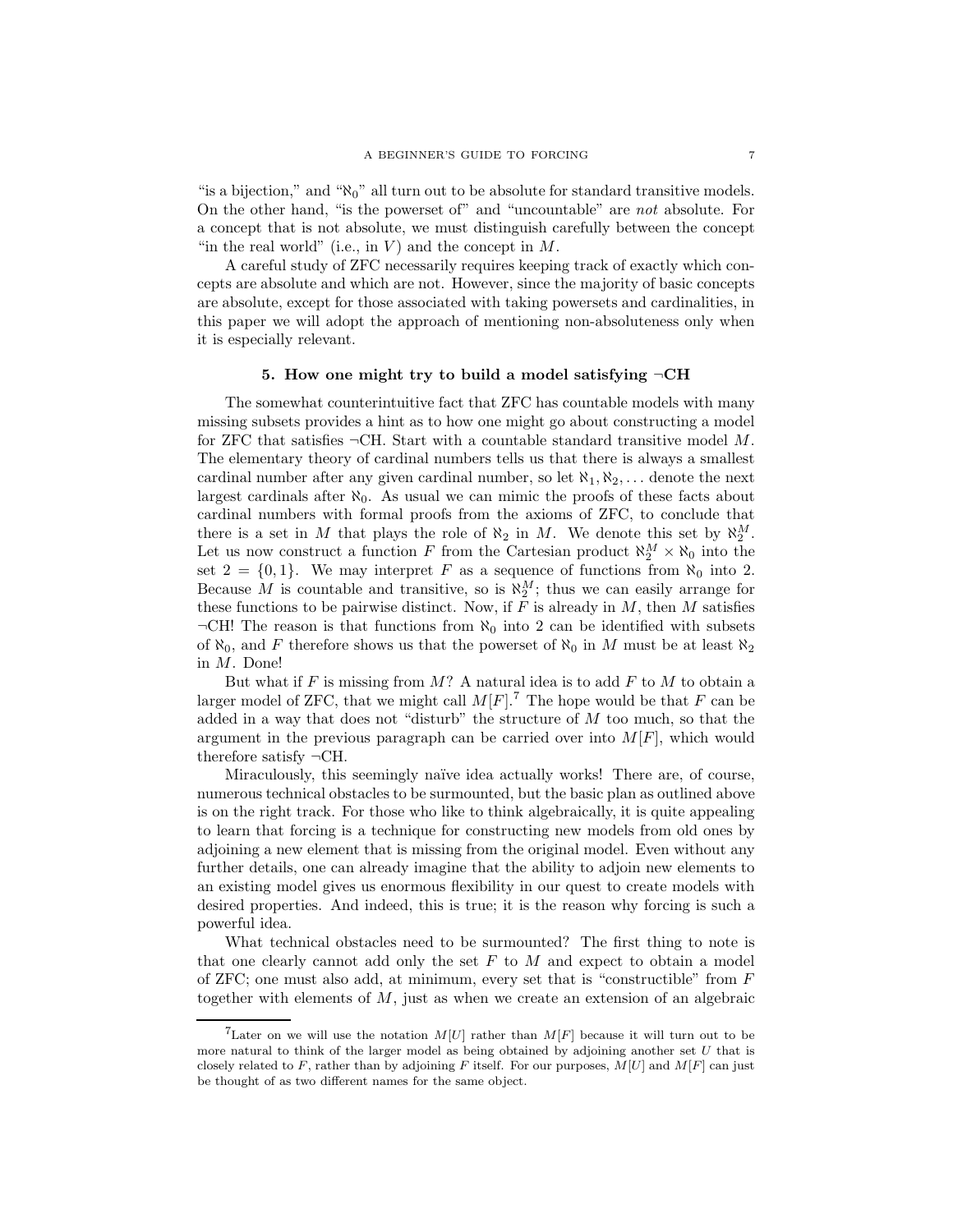"is a bijection," and " $\aleph_0$ " all turn out to be absolute for standard transitive models. On the other hand, "is the powerset of" and "uncountable" are not absolute. For a concept that is not absolute, we must distinguish carefully between the concept "in the real world" (i.e., in  $V$ ) and the concept in  $M$ .

A careful study of ZFC necessarily requires keeping track of exactly which concepts are absolute and which are not. However, since the majority of basic concepts are absolute, except for those associated with taking powersets and cardinalities, in this paper we will adopt the approach of mentioning non-absoluteness only when it is especially relevant.

# 5. How one might try to build a model satisfying  $\neg$ CH

The somewhat counterintuitive fact that ZFC has countable models with many missing subsets provides a hint as to how one might go about constructing a model for ZFC that satisfies  $\neg$ CH. Start with a countable standard transitive model M. The elementary theory of cardinal numbers tells us that there is always a smallest cardinal number after any given cardinal number, so let  $\aleph_1, \aleph_2, \ldots$  denote the next largest cardinals after  $\aleph_0$ . As usual we can mimic the proofs of these facts about cardinal numbers with formal proofs from the axioms of ZFC, to conclude that there is a set in M that plays the role of  $\aleph_2$  in M. We denote this set by  $\aleph_2^M$ . Let us now construct a function F from the Cartesian product  $\aleph_2^M \times \aleph_0$  into the set  $2 = \{0, 1\}$ . We may interpret F as a sequence of functions from  $\aleph_0$  into 2. Because M is countable and transitive, so is  $\aleph_2^M$ ; thus we can easily arrange for these functions to be pairwise distinct. Now, if  $\overline{F}$  is already in M, then M satisfies  $\neg$ CH! The reason is that functions from  $\aleph_0$  into 2 can be identified with subsets of  $\aleph_0$ , and F therefore shows us that the powerset of  $\aleph_0$  in M must be at least  $\aleph_2$ in M. Done!

But what if  $F$  is missing from  $M$ ? A natural idea is to add  $F$  to  $M$  to obtain a larger model of ZFC, that we might call  $M[F]$ .<sup>7</sup> The hope would be that F can be added in a way that does not "disturb" the structure of  $M$  too much, so that the argument in the previous paragraph can be carried over into  $M[F]$ , which would therefore satisfy  $\neg$ CH.

Miraculously, this seemingly naïve idea actually works! There are, of course, numerous technical obstacles to be surmounted, but the basic plan as outlined above is on the right track. For those who like to think algebraically, it is quite appealing to learn that forcing is a technique for constructing new models from old ones by adjoining a new element that is missing from the original model. Even without any further details, one can already imagine that the ability to adjoin new elements to an existing model gives us enormous flexibility in our quest to create models with desired properties. And indeed, this is true; it is the reason why forcing is such a powerful idea.

What technical obstacles need to be surmounted? The first thing to note is that one clearly cannot add only the set  $F$  to  $M$  and expect to obtain a model of ZFC; one must also add, at minimum, every set that is "constructible" from  $F$ together with elements of  $M$ , just as when we create an extension of an algebraic

<sup>&</sup>lt;sup>7</sup>Later on we will use the notation  $M[U]$  rather than  $M[F]$  because it will turn out to be more natural to think of the larger model as being obtained by adjoining another set  $U$  that is closely related to F, rather than by adjoining F itself. For our purposes,  $M[U]$  and  $M[F]$  can just be thought of as two different names for the same object.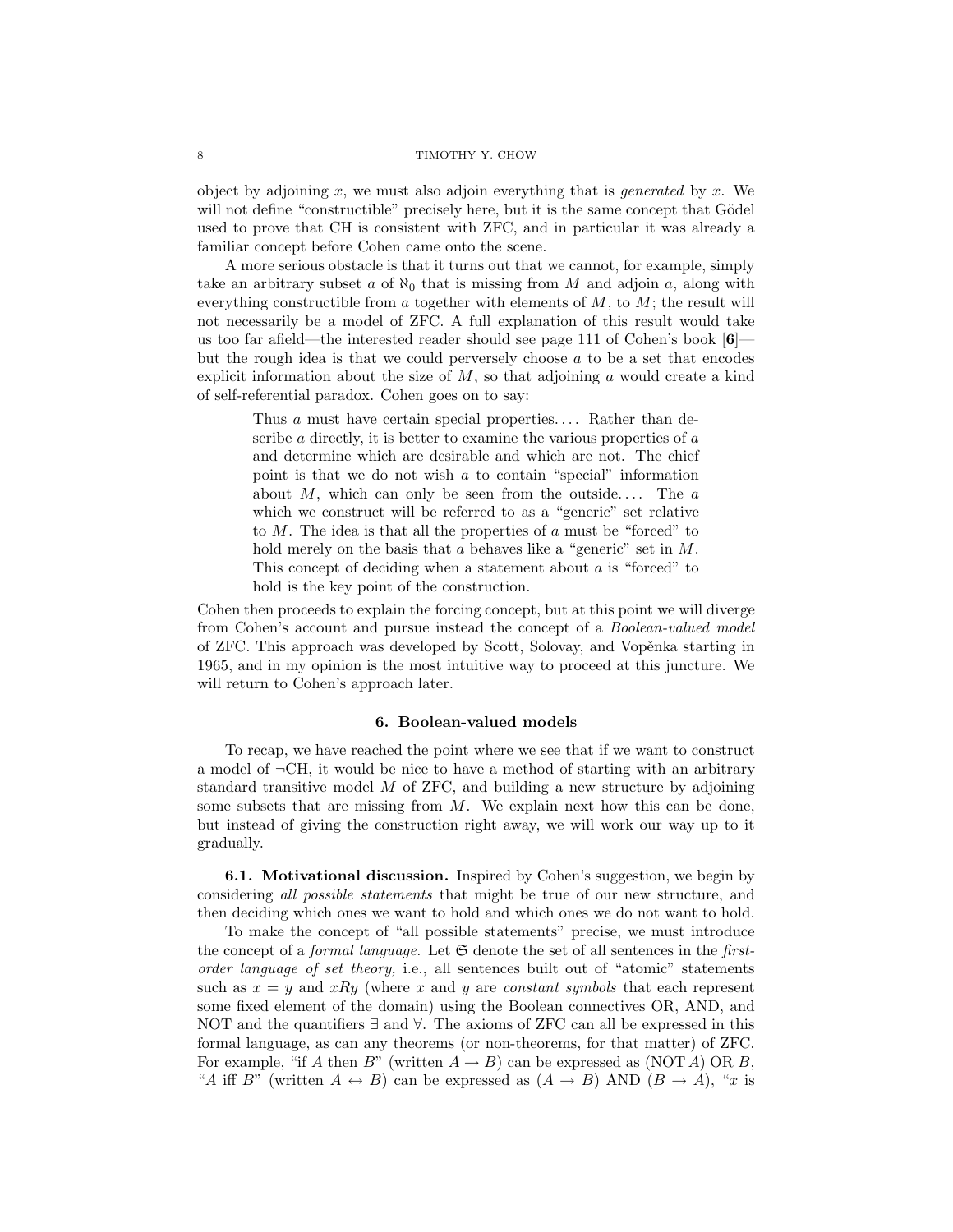object by adjoining x, we must also adjoin everything that is *generated* by x. We will not define "constructible" precisely here, but it is the same concept that Gödel used to prove that CH is consistent with ZFC, and in particular it was already a familiar concept before Cohen came onto the scene.

A more serious obstacle is that it turns out that we cannot, for example, simply take an arbitrary subset a of  $\aleph_0$  that is missing from M and adjoin a, along with everything constructible from a together with elements of  $M$ , to  $M$ ; the result will not necessarily be a model of ZFC. A full explanation of this result would take us too far afield—the interested reader should see page 111 of Cohen's book [6] but the rough idea is that we could perversely choose  $a$  to be a set that encodes explicit information about the size of  $M$ , so that adjoining a would create a kind of self-referential paradox. Cohen goes on to say:

Thus  $a$  must have certain special properties.... Rather than describe a directly, it is better to examine the various properties of a and determine which are desirable and which are not. The chief point is that we do not wish a to contain "special" information about  $M$ , which can only be seen from the outside.... The  $a$ which we construct will be referred to as a "generic" set relative to  $M$ . The idea is that all the properties of  $a$  must be "forced" to hold merely on the basis that a behaves like a "generic" set in M. This concept of deciding when a statement about a is "forced" to hold is the key point of the construction.

Cohen then proceeds to explain the forcing concept, but at this point we will diverge from Cohen's account and pursue instead the concept of a Boolean-valued model of ZFC. This approach was developed by Scott, Solovay, and Vopěnka starting in 1965, and in my opinion is the most intuitive way to proceed at this juncture. We will return to Cohen's approach later.

# 6. Boolean-valued models

To recap, we have reached the point where we see that if we want to construct a model of  $\neg$ CH, it would be nice to have a method of starting with an arbitrary standard transitive model M of ZFC, and building a new structure by adjoining some subsets that are missing from  $M$ . We explain next how this can be done, but instead of giving the construction right away, we will work our way up to it gradually.

6.1. Motivational discussion. Inspired by Cohen's suggestion, we begin by considering all possible statements that might be true of our new structure, and then deciding which ones we want to hold and which ones we do not want to hold.

To make the concept of "all possible statements" precise, we must introduce the concept of a *formal language*. Let  $\mathfrak S$  denote the set of all sentences in the *first*order language of set theory, i.e., all sentences built out of "atomic" statements such as  $x = y$  and xRy (where x and y are constant symbols that each represent some fixed element of the domain) using the Boolean connectives OR, AND, and NOT and the quantifiers ∃ and ∀. The axioms of ZFC can all be expressed in this formal language, as can any theorems (or non-theorems, for that matter) of ZFC. For example, "if A then B" (written  $A \rightarrow B$ ) can be expressed as (NOT A) OR B, "A iff B" (written  $A \leftrightarrow B$ ) can be expressed as  $(A \rightarrow B)$  AND  $(B \rightarrow A)$ , "x is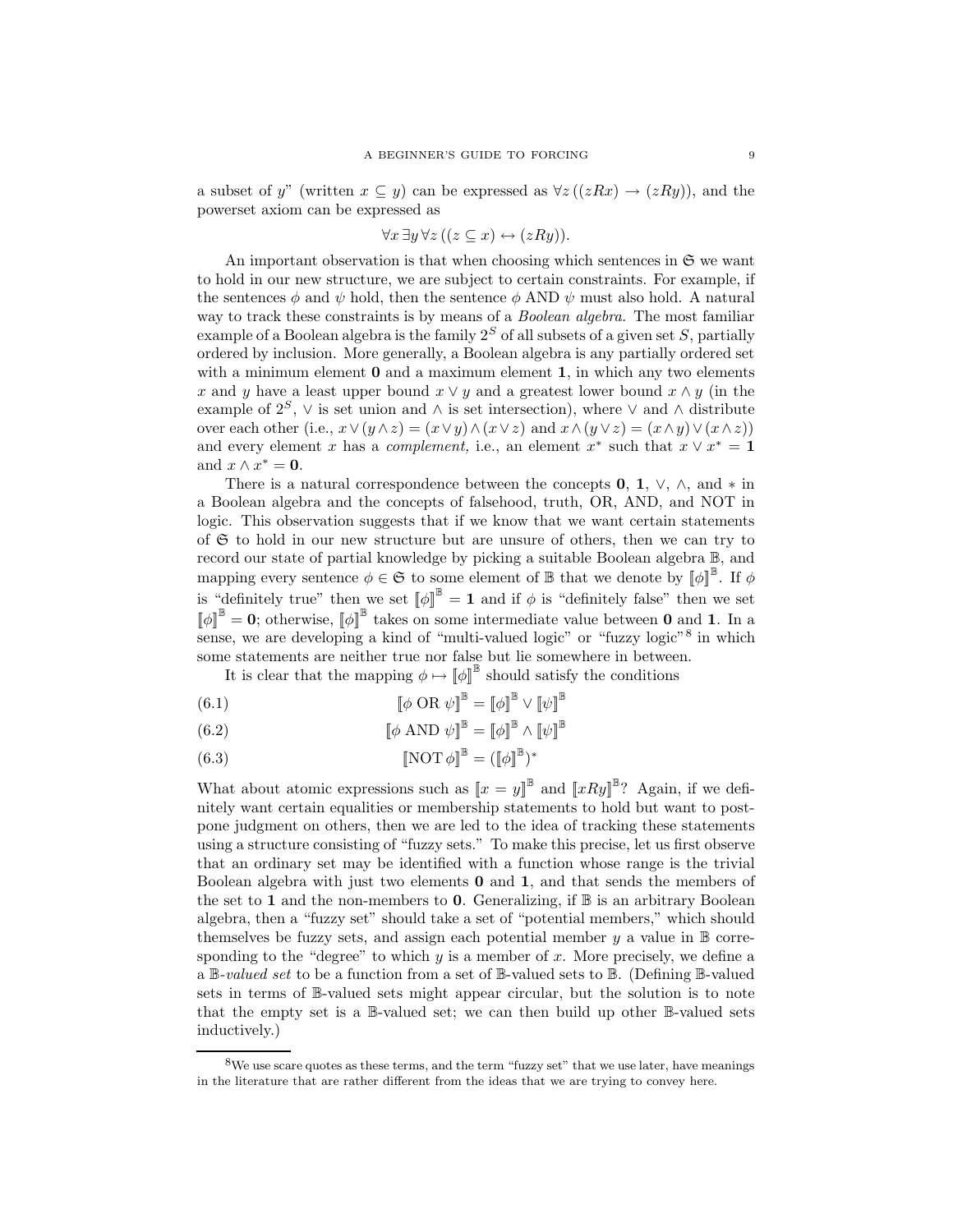a subset of y" (written  $x \subseteq y$ ) can be expressed as  $\forall z ((zRx) \rightarrow (zRy))$ , and the powerset axiom can be expressed as

$$
\forall x \exists y \forall z ((z \subseteq x) \leftrightarrow (zRy)).
$$

An important observation is that when choosing which sentences in  $\mathfrak{S}$  we want to hold in our new structure, we are subject to certain constraints. For example, if the sentences  $\phi$  and  $\psi$  hold, then the sentence  $\phi$  AND  $\psi$  must also hold. A natural way to track these constraints is by means of a Boolean algebra. The most familiar example of a Boolean algebra is the family  $2^S$  of all subsets of a given set S, partially ordered by inclusion. More generally, a Boolean algebra is any partially ordered set with a minimum element  $\bf{0}$  and a maximum element  $\bf{1}$ , in which any two elements x and y have a least upper bound  $x \vee y$  and a greatest lower bound  $x \wedge y$  (in the example of  $2^S$ ,  $\vee$  is set union and  $\wedge$  is set intersection), where  $\vee$  and  $\wedge$  distribute over each other (i.e.,  $x \vee (y \wedge z) = (x \vee y) \wedge (x \vee z)$  and  $x \wedge (y \vee z) = (x \wedge y) \vee (x \wedge z)$ ) and every element x has a *complement*, i.e., an element  $x^*$  such that  $x \vee x^* = 1$ and  $x \wedge x^* = 0$ .

There is a natural correspondence between the concepts 0, 1,  $\vee$ ,  $\wedge$ , and  $*$  in a Boolean algebra and the concepts of falsehood, truth, OR, AND, and NOT in logic. This observation suggests that if we know that we want certain statements of  $G$  to hold in our new structure but are unsure of others, then we can try to record our state of partial knowledge by picking a suitable Boolean algebra B, and mapping every sentence  $\phi \in \mathfrak{S}$  to some element of  $\mathbb B$  that we denote by  $[\![\phi]\!]^{\mathbb{B}}$ . If  $\phi$ is "definitely true" then we set  $[\![\phi]\!]^{\mathbb{B}} = 1$  and if  $\phi$  is "definitely false" then we set  $[\![\phi]\!]^{\mathbb{B}} = \mathbf{0}$ ; otherwise,  $[\![\phi]\!]^{\mathbb{B}}$  takes on some intermediate value between **0** and **1**. In a sense, we are developing a kind of "multi-valued logic" or "fuzzy logic"<sup>8</sup> in which some statements are neither true nor false but lie somewhere in between.

It is clear that the mapping  $\phi \mapsto [\![\phi]\!]^{\mathbb{B}}$  should satisfy the conditions

(6.1) 
$$
\llbracket \phi \text{ OR } \psi \rrbracket^{\mathbb{B}} = \llbracket \phi \rrbracket^{\mathbb{B}} \vee \llbracket \psi \rrbracket^{\mathbb{B}}
$$

(6.2) 
$$
\llbracket \phi \text{ AND } \psi \rrbracket^{\mathbb{B}} = \llbracket \phi \rrbracket^{\mathbb{B}} \wedge \llbracket \psi \rrbracket^{\mathbb{B}}
$$

(6.3) 
$$
\left[\text{NOT} \phi\right]^{\mathbb{B}} = (\left[\phi\right]^{\mathbb{B}})^*
$$

What about atomic expressions such as  $\llbracket x = y \rrbracket^{\mathbb{B}}$  and  $\llbracket xRy \rrbracket^{\mathbb{B}}$ ? Again, if we definitely want certain equalities or membership statements to hold but want to postpone judgment on others, then we are led to the idea of tracking these statements using a structure consisting of "fuzzy sets." To make this precise, let us first observe that an ordinary set may be identified with a function whose range is the trivial Boolean algebra with just two elements 0 and 1, and that sends the members of the set to 1 and the non-members to 0. Generalizing, if  $\mathbb B$  is an arbitrary Boolean algebra, then a "fuzzy set" should take a set of "potential members," which should themselves be fuzzy sets, and assign each potential member  $y$  a value in  $\mathbb B$  corresponding to the "degree" to which  $y$  is a member of x. More precisely, we define a a B-valued set to be a function from a set of B-valued sets to B. (Defining B-valued sets in terms of B-valued sets might appear circular, but the solution is to note that the empty set is a B-valued set; we can then build up other B-valued sets inductively.)

<sup>&</sup>lt;sup>8</sup>We use scare quotes as these terms, and the term "fuzzy set" that we use later, have meanings in the literature that are rather different from the ideas that we are trying to convey here.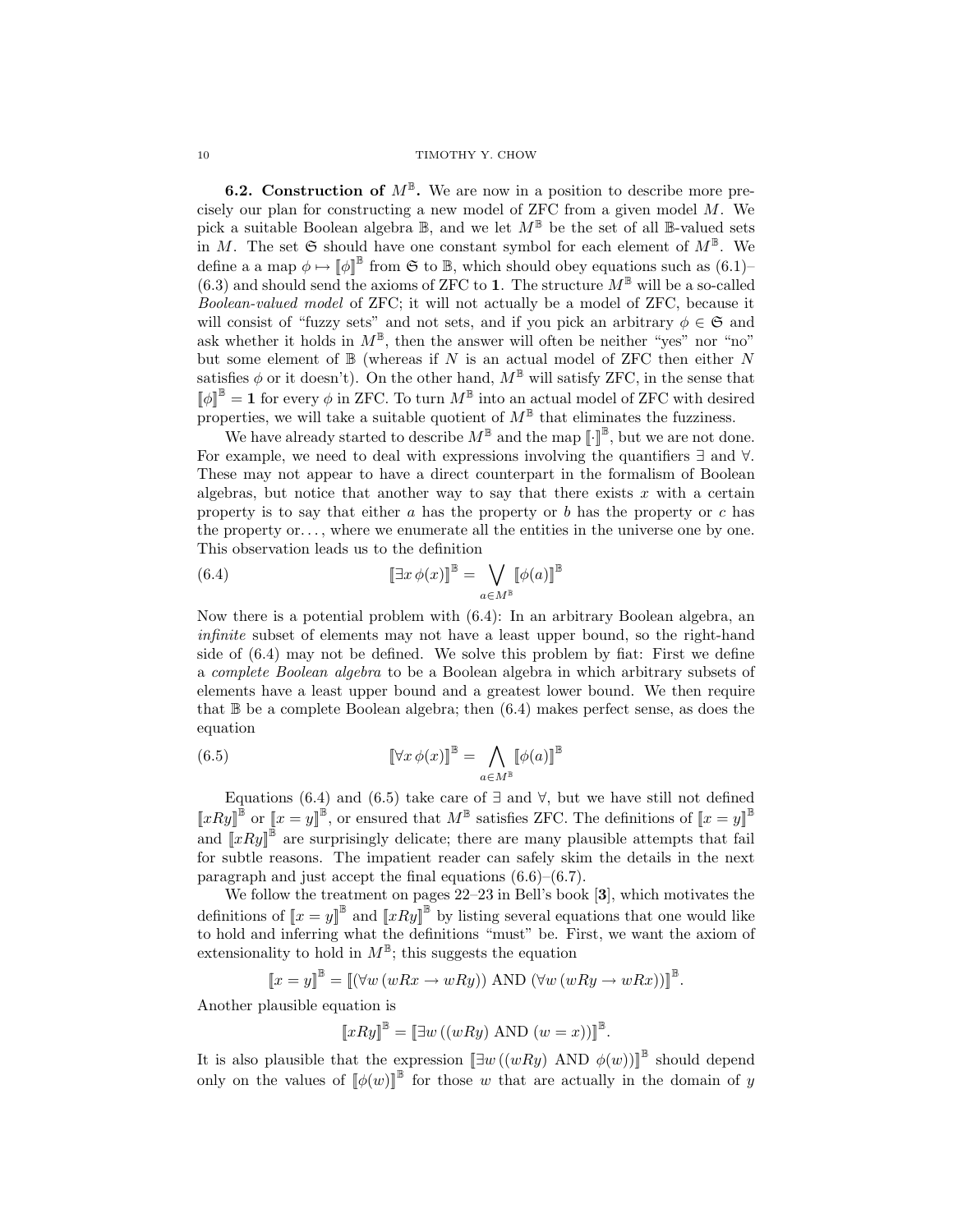**6.2. Construction of**  $M^{\mathbb{B}}$ . We are now in a position to describe more precisely our plan for constructing a new model of ZFC from a given model M. We pick a suitable Boolean algebra  $\mathbb B$ , and we let  $M^{\mathbb B}$  be the set of all  $\mathbb B$ -valued sets in M. The set  $\mathfrak S$  should have one constant symbol for each element of  $M^{\mathbb B}$ . We define a a map  $\phi \mapsto [\![\phi]\!]^{\mathbb{B}}$  from  $\mathfrak{S}$  to  $\mathbb{B}$ , which should obey equations such as  $(6.1)$  $(6.3)$  and should send the axioms of ZFC to 1. The structure  $M^{\mathbb{B}}$  will be a so-called Boolean-valued model of ZFC; it will not actually be a model of ZFC, because it will consist of "fuzzy sets" and not sets, and if you pick an arbitrary  $\phi \in \mathfrak{S}$  and ask whether it holds in  $M^{\mathbb{B}}$ , then the answer will often be neither "yes" nor "no" but some element of  $\mathbb B$  (whereas if N is an actual model of ZFC then either N satisfies  $\phi$  or it doesn't). On the other hand,  $M^{\mathbb{B}}$  will satisfy ZFC, in the sense that  $[\![\phi]\!]^{\mathbb{B}} = 1$  for every  $\phi$  in ZFC. To turn  $M^{\mathbb{B}}$  into an actual model of ZFC with desired properties, we will take a suitable quotient of  $M^{\mathbb{B}}$  that eliminates the fuzziness.

We have already started to describe  $M^{\mathbb{B}}$  and the map  $\llbracket \cdot \rrbracket^{\mathbb{B}}$ , but we are not done. For example, we need to deal with expressions involving the quantifiers ∃ and ∀. These may not appear to have a direct counterpart in the formalism of Boolean algebras, but notice that another way to say that there exists  $x$  with a certain property is to say that either  $a$  has the property or  $b$  has the property or  $c$  has the property  $or \ldots$ , where we enumerate all the entities in the universe one by one. This observation leads us to the definition

(6.4) 
$$
\left[\exists x \phi(x)\right]^{\mathbb{B}} = \bigvee_{a \in M^{\mathbb{B}}} \left[\phi(a)\right]^{\mathbb{B}}
$$

Now there is a potential problem with (6.4): In an arbitrary Boolean algebra, an infinite subset of elements may not have a least upper bound, so the right-hand side of (6.4) may not be defined. We solve this problem by fiat: First we define a complete Boolean algebra to be a Boolean algebra in which arbitrary subsets of elements have a least upper bound and a greatest lower bound. We then require that  $\mathbb B$  be a complete Boolean algebra; then  $(6.4)$  makes perfect sense, as does the equation

(6.5) 
$$
\left[\forall x \phi(x)\right]^{\mathbb{B}} = \bigwedge_{a \in M^{\mathbb{B}}} \left[\phi(a)\right]^{\mathbb{B}}
$$

Equations (6.4) and (6.5) take care of  $\exists$  and  $\forall$ , but we have still not defined  $[[xRy]]^{\mathbb{B}}$  or  $[[x = y]]^{\mathbb{B}}$ , or ensured that  $M^{\mathbb{B}}$  satisfies ZFC. The definitions of  $[[x = y]]^{\mathbb{B}}$ and  $\llbracket xRy \rrbracket^{\mathbb{B}}$  are surprisingly delicate; there are many plausible attempts that fail for subtle reasons. The impatient reader can safely skim the details in the next paragraph and just accept the final equations  $(6.6)$ – $(6.7)$ .

We follow the treatment on pages  $22-23$  in Bell's book [3], which motivates the definitions of  $[[x = y]]^{\mathbb{B}}$  and  $[[xRy]]^{\mathbb{B}}$  by listing several equations that one would like to hold and inferring what the definitions "must" be. First, we want the axiom of extensionality to hold in  $M^{\mathbb{B}}$ ; this suggests the equation

$$
\llbracket x = y \rrbracket^{\mathbb{B}} = \llbracket (\forall w (wRx \to wRy)) \text{ AND } (\forall w (wRy \to wRx)) \rrbracket^{\mathbb{B}}.
$$

Another plausible equation is

$$
[\![xRy]\!]^{\mathbb{B}} = [\![\exists w((wRy) \text{ AND } (w=x))]^{\mathbb{B}}.
$$

It is also plausible that the expression  $[\exists w ((wRy) \text{ AND } \phi(w))]^{\mathbb{B}}$  should depend only on the values of  $[\![\phi(w)]\!]^{\mathbb{B}}$  for those w that are actually in the domain of y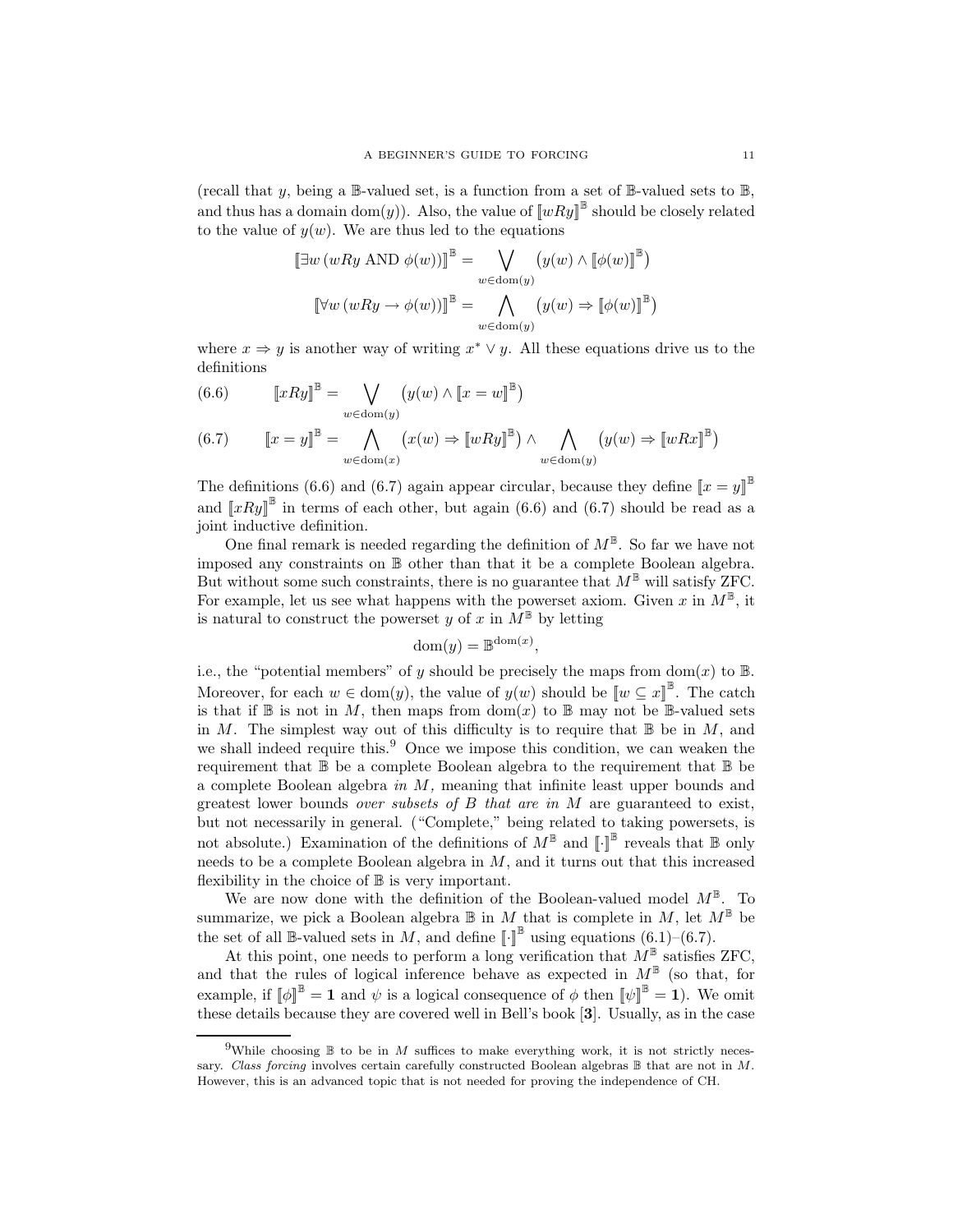(recall that y, being a  $\mathbb{B}$ -valued set, is a function from a set of  $\mathbb{B}$ -valued sets to  $\mathbb{B}$ , and thus has a domain dom(y)). Also, the value of  $\llbracket wRy \rrbracket^{\mathbb{B}}$  should be closely related to the value of  $y(w)$ . We are thus led to the equations

$$
\left[\exists w \left(wRy \text{ AND } \phi(w)\right)\right]^{\mathbb{B}} = \bigvee_{w \in \text{dom}(y)} \left(y(w) \land \left[\phi(w)\right]^{\mathbb{B}}\right)
$$

$$
\left[\forall w \left(wRy \to \phi(w)\right)\right]^{\mathbb{B}} = \bigwedge_{w \in \text{dom}(y)} \left(y(w) \Rightarrow \left[\phi(w)\right]^{\mathbb{B}}\right)
$$

where  $x \Rightarrow y$  is another way of writing  $x^* \vee y$ . All these equations drive us to the definitions

(6.6) 
$$
\llbracket xRy \rrbracket^{\mathbb{B}} = \bigvee_{w \in \text{dom}(y)} (y(w) \land \llbracket x = w \rrbracket^{\mathbb{B}})
$$

$$
(6.7) \qquad \llbracket x = y \rrbracket^{\mathbb{B}} = \bigwedge_{w \in \text{dom}(x)} (x(w) \Rightarrow \llbracket wRy \rrbracket^{\mathbb{B}}) \land \bigwedge_{w \in \text{dom}(y)} (y(w) \Rightarrow \llbracket wRx \rrbracket^{\mathbb{B}})
$$

The definitions (6.6) and (6.7) again appear circular, because they define  $\llbracket x = y \rrbracket^{\mathbb{B}}$ and  $[[xRy]]^{\mathbb{B}}$  in terms of each other, but again (6.6) and (6.7) should be read as a joint inductive definition.

One final remark is needed regarding the definition of  $M^{\mathbb{B}}$ . So far we have not imposed any constraints on B other than that it be a complete Boolean algebra. But without some such constraints, there is no guarantee that  $M^{\mathbb{B}}$  will satisfy ZFC. For example, let us see what happens with the powerset axiom. Given x in  $M^{\mathbb{B}}$ , it is natural to construct the powerset y of x in  $M^{\mathbb{B}}$  by letting

$$
\operatorname{dom}(y) = \mathbb{B}^{\operatorname{dom}(x)},
$$

i.e., the "potential members" of y should be precisely the maps from  $dom(x)$  to  $\mathbb{B}$ . Moreover, for each  $w \in \text{dom}(y)$ , the value of  $y(w)$  should be  $[[w \subseteq x]]^{\mathbb{B}}$ . The catch is that if  $\mathbb B$  is not in M, then maps from  $\text{dom}(x)$  to  $\mathbb B$  may not be  $\mathbb B$ -valued sets in  $M$ . The simplest way out of this difficulty is to require that  $\mathbb B$  be in  $M$ , and we shall indeed require this.<sup>9</sup> Once we impose this condition, we can weaken the requirement that  $\mathbb B$  be a complete Boolean algebra to the requirement that  $\mathbb B$  be a complete Boolean algebra in  $M$ , meaning that infinite least upper bounds and greatest lower bounds over subsets of  $B$  that are in  $M$  are guaranteed to exist, but not necessarily in general. ("Complete," being related to taking powersets, is not absolute.) Examination of the definitions of  $M^{\mathbb{B}}$  and  $\llbracket \cdot \rrbracket^{\mathbb{B}}$  reveals that  $\mathbb{B}$  only needs to be a complete Boolean algebra in  $M$ , and it turns out that this increased flexibility in the choice of  $\mathbb B$  is very important.

We are now done with the definition of the Boolean-valued model  $M^{\mathbb{B}}$ . To summarize, we pick a Boolean algebra  $\mathbb B$  in M that is complete in M, let  $M^{\mathbb B}$  be the set of all B-valued sets in M, and define  $\llbracket \cdot \rrbracket^{\mathbb{B}}$  using equations  $(6.1)$ – $(6.7)$ .

At this point, one needs to perform a long verification that  $\overline{M}^{\mathbb{B}}$  satisfies ZFC, and that the rules of logical inference behave as expected in  $M^{\mathbb{B}}$  (so that, for example, if  $[\![\phi]\!]^{\mathbb{B}} = \mathbf{1}$  and  $\psi$  is a logical consequence of  $\phi$  then  $[\![\psi]\!]^{\mathbb{B}} = \mathbf{1}$ ). We omit these details because they are covered well in Bell's book [3]. Usually, as in the case

<sup>&</sup>lt;sup>9</sup>While choosing  $\mathbb B$  to be in M suffices to make everything work, it is not strictly necessary. Class forcing involves certain carefully constructed Boolean algebras  $\mathbb B$  that are not in M. However, this is an advanced topic that is not needed for proving the independence of CH.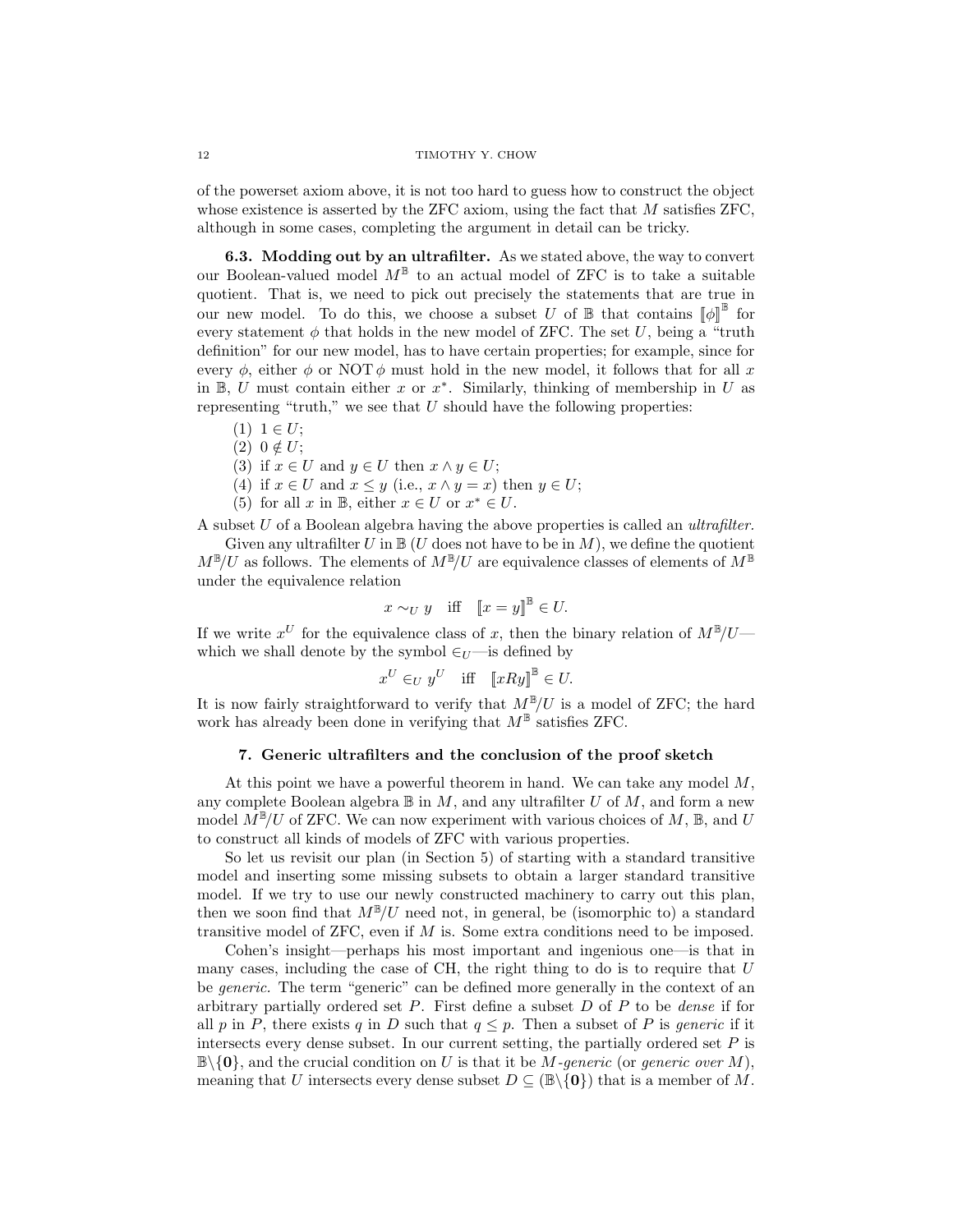of the powerset axiom above, it is not too hard to guess how to construct the object whose existence is asserted by the ZFC axiom, using the fact that M satisfies ZFC, although in some cases, completing the argument in detail can be tricky.

6.3. Modding out by an ultrafilter. As we stated above, the way to convert our Boolean-valued model  $M^{\mathbb{B}}$  to an actual model of ZFC is to take a suitable quotient. That is, we need to pick out precisely the statements that are true in our new model. To do this, we choose a subset U of  $\mathbb B$  that contains  $\llbracket \phi \rrbracket^{\mathbb B}$  for every statement  $\phi$  that holds in the new model of ZFC. The set U, being a "truth" definition" for our new model, has to have certain properties; for example, since for every  $\phi$ , either  $\phi$  or NOT  $\phi$  must hold in the new model, it follows that for all x in  $\mathbb{B}, U$  must contain either x or  $x^*$ . Similarly, thinking of membership in U as representing "truth," we see that  $U$  should have the following properties:

 $(1)$  1  $\in U$ ;

 $(2)$  0  $\notin U$ ;

(3) if  $x \in U$  and  $y \in U$  then  $x \wedge y \in U$ ;

(4) if 
$$
x \in U
$$
 and  $x \leq y$  (i.e.,  $x \wedge y = x$ ) then  $y \in U$ ;

(5) for all x in  $\mathbb{B}$ , either  $x \in U$  or  $x^* \in U$ .

A subset U of a Boolean algebra having the above properties is called an ultrafilter.

Given any ultrafilter U in  $\mathbb{B}(U)$  does not have to be in M, we define the quotient  $M^{\mathbb{B}}/U$  as follows. The elements of  $M^{\mathbb{B}}/U$  are equivalence classes of elements of  $M^{\mathbb{B}}$ under the equivalence relation

$$
x \sim_U y \quad \text{iff} \quad [x = y]^\mathbb{B} \in U.
$$

If we write  $x^U$  for the equivalence class of x, then the binary relation of  $M^{\mathbb{B}}/U$  which we shall denote by the symbol  $\epsilon_U$ —is defined by

$$
x^U \in_U y^U \quad \text{iff} \quad [xRy]^\mathbb{B} \in U.
$$

It is now fairly straightforward to verify that  $M^{\mathbb{B}}/U$  is a model of ZFC; the hard work has already been done in verifying that  $M^{\mathbb{B}}$  satisfies ZFC.

# 7. Generic ultrafilters and the conclusion of the proof sketch

At this point we have a powerful theorem in hand. We can take any model  $M$ , any complete Boolean algebra  $\mathbb B$  in M, and any ultrafilter U of M, and form a new model  $M^{\mathbb{B}}/U$  of ZFC. We can now experiment with various choices of M, B, and U to construct all kinds of models of ZFC with various properties.

So let us revisit our plan (in Section 5) of starting with a standard transitive model and inserting some missing subsets to obtain a larger standard transitive model. If we try to use our newly constructed machinery to carry out this plan, then we soon find that  $M^{\mathbb{B}}/U$  need not, in general, be (isomorphic to) a standard transitive model of ZFC, even if M is. Some extra conditions need to be imposed.

Cohen's insight—perhaps his most important and ingenious one—is that in many cases, including the case of CH, the right thing to do is to require that  $U$ be generic. The term "generic" can be defined more generally in the context of an arbitrary partially ordered set  $P$ . First define a subset  $D$  of  $P$  to be *dense* if for all p in P, there exists q in D such that  $q \leq p$ . Then a subset of P is generic if it intersects every dense subset. In our current setting, the partially ordered set  $P$  is  $\mathbb{B}\setminus\{0\}$ , and the crucial condition on U is that it be M-generic (or generic over M), meaning that U intersects every dense subset  $D \subseteq (\mathbb{B}\backslash \{0\})$  that is a member of M.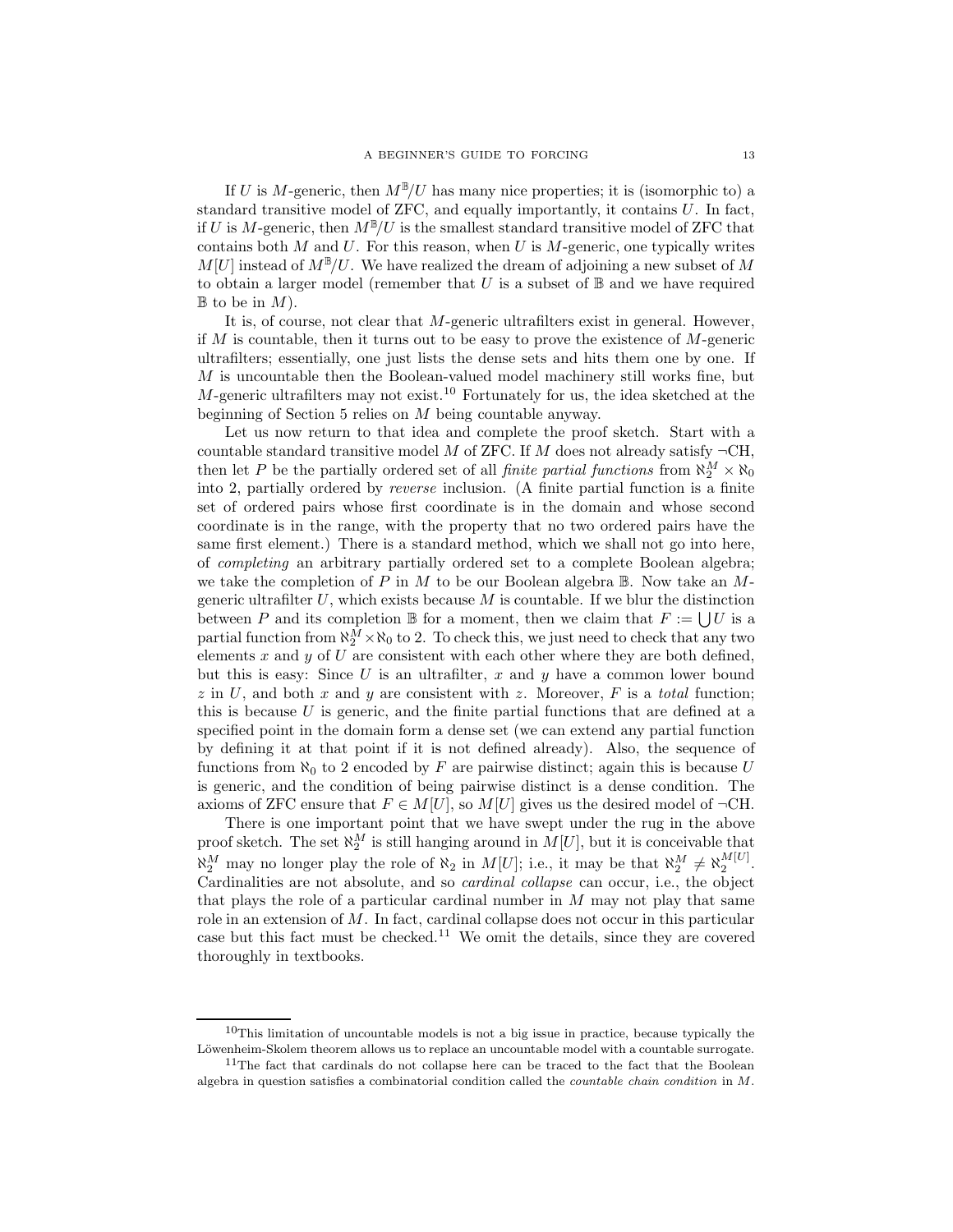If U is M-generic, then  $M^{\mathbb{B}}/U$  has many nice properties; it is (isomorphic to) a standard transitive model of  $ZFC$ , and equally importantly, it contains  $U$ . In fact, if U is M-generic, then  $M^{\mathbb{B}}/U$  is the smallest standard transitive model of ZFC that contains both  $M$  and  $U$ . For this reason, when  $U$  is  $M$ -generic, one typically writes  $M[U]$  instead of  $M^{\mathbb{B}}/U$ . We have realized the dream of adjoining a new subset of M to obtain a larger model (remember that  $U$  is a subset of  $\mathbb B$  and we have required  $\mathbb B$  to be in  $M$ ).

It is, of course, not clear that M-generic ultrafilters exist in general. However, if  $M$  is countable, then it turns out to be easy to prove the existence of  $M$ -generic ultrafilters; essentially, one just lists the dense sets and hits them one by one. If M is uncountable then the Boolean-valued model machinery still works fine, but  $M$ -generic ultrafilters may not exist.<sup>10</sup> Fortunately for us, the idea sketched at the beginning of Section 5 relies on M being countable anyway.

Let us now return to that idea and complete the proof sketch. Start with a countable standard transitive model M of ZFC. If M does not already satisfy  $\neg$ CH, then let P be the partially ordered set of all *finite partial functions* from  $\aleph_2^M \times \aleph_0$ into 2, partially ordered by reverse inclusion. (A finite partial function is a finite set of ordered pairs whose first coordinate is in the domain and whose second coordinate is in the range, with the property that no two ordered pairs have the same first element.) There is a standard method, which we shall not go into here, of completing an arbitrary partially ordered set to a complete Boolean algebra; we take the completion of P in M to be our Boolean algebra  $\mathbb B$ . Now take an Mgeneric ultrafilter  $U$ , which exists because  $M$  is countable. If we blur the distinction between P and its completion  $\mathbb B$  for a moment, then we claim that  $F := \bigcup U$  is a partial function from  $\aleph_2^M \times \aleph_0$  to 2. To check this, we just need to check that any two elements  $x$  and  $y$  of  $U$  are consistent with each other where they are both defined, but this is easy: Since  $U$  is an ultrafilter,  $x$  and  $y$  have a common lower bound  $z$  in U, and both x and y are consistent with z. Moreover, F is a total function; this is because  $U$  is generic, and the finite partial functions that are defined at a specified point in the domain form a dense set (we can extend any partial function by defining it at that point if it is not defined already). Also, the sequence of functions from  $\aleph_0$  to 2 encoded by F are pairwise distinct; again this is because U is generic, and the condition of being pairwise distinct is a dense condition. The axioms of ZFC ensure that  $F \in M[U]$ , so  $M[U]$  gives us the desired model of  $\neg$ CH.

There is one important point that we have swept under the rug in the above proof sketch. The set  $\aleph_2^M$  is still hanging around in  $M[U]$ , but it is conceivable that  $\aleph_2^M$  may no longer play the role of  $\aleph_2$  in  $M[U]$ ; i.e., it may be that  $\aleph_2^M \neq \aleph_2^{M[U]}$ . Cardinalities are not absolute, and so cardinal collapse can occur, i.e., the object that plays the role of a particular cardinal number in  $M$  may not play that same role in an extension of  $M$ . In fact, cardinal collapse does not occur in this particular case but this fact must be checked.<sup>11</sup> We omit the details, since they are covered thoroughly in textbooks.

 $10$ This limitation of uncountable models is not a big issue in practice, because typically the Löwenheim-Skolem theorem allows us to replace an uncountable model with a countable surrogate.

<sup>&</sup>lt;sup>11</sup>The fact that cardinals do not collapse here can be traced to the fact that the Boolean algebra in question satisfies a combinatorial condition called the countable chain condition in M.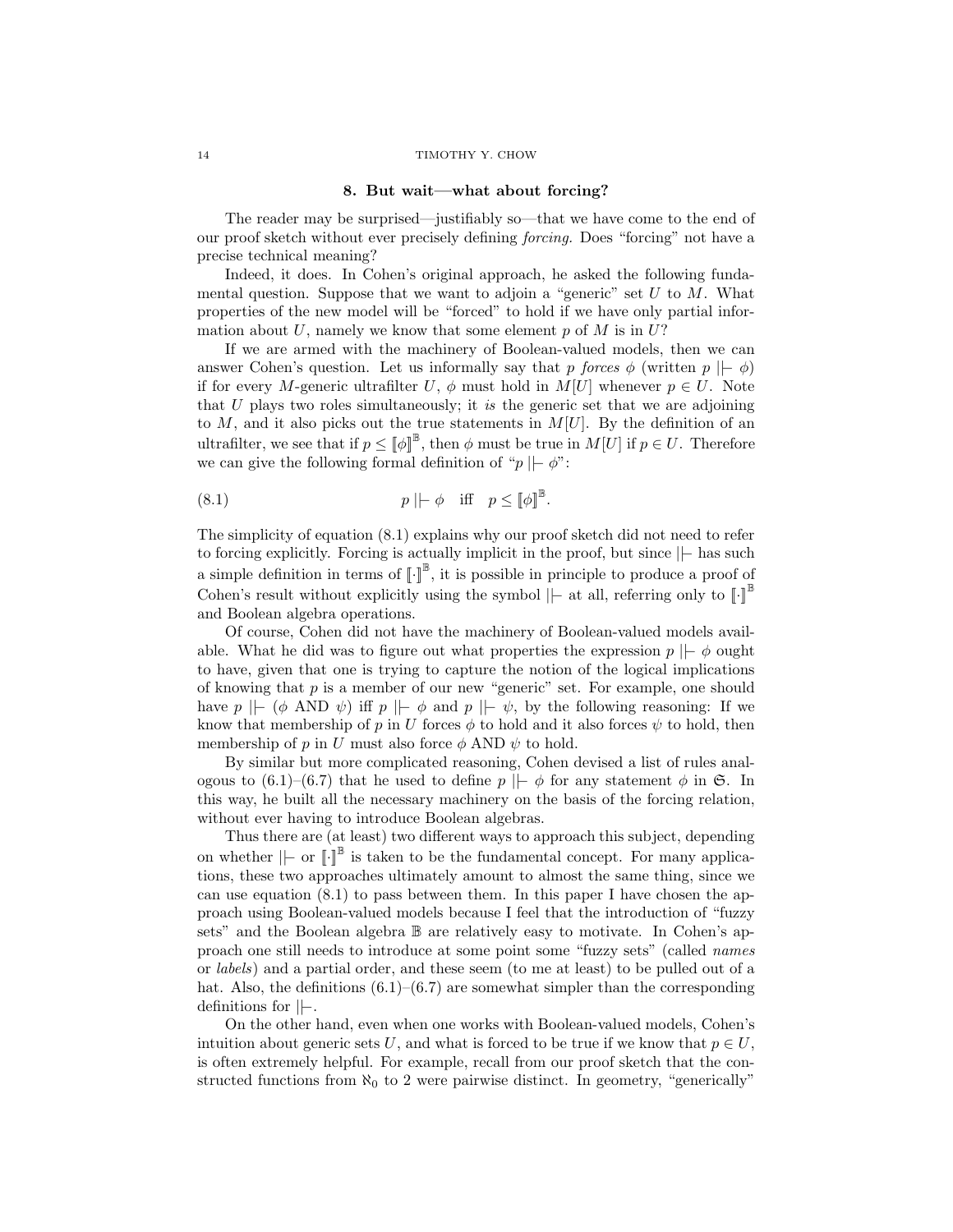#### 14 TIMOTHY Y. CHOW

#### 8. But wait—what about forcing?

The reader may be surprised—justifiably so—that we have come to the end of our proof sketch without ever precisely defining forcing. Does "forcing" not have a precise technical meaning?

Indeed, it does. In Cohen's original approach, he asked the following fundamental question. Suppose that we want to adjoin a "generic" set  $U$  to  $M$ . What properties of the new model will be "forced" to hold if we have only partial information about U, namely we know that some element  $p$  of M is in  $U$ ?

If we are armed with the machinery of Boolean-valued models, then we can answer Cohen's question. Let us informally say that p forces  $\phi$  (written  $p \mid \vdash \phi$ ) if for every M-generic ultrafilter U,  $\phi$  must hold in  $M[U]$  whenever  $p \in U$ . Note that  $U$  plays two roles simultaneously; it is the generic set that we are adjoining to  $M$ , and it also picks out the true statements in  $M[U]$ . By the definition of an ultrafilter, we see that if  $p \leq [\![\phi]\!]^{\mathbb{B}}$ , then  $\phi$  must be true in  $M[U]$  if  $p \in U$ . Therefore we can give the following formal definition of " $p \mid \vdash \phi$ ":

$$
(8.1) \t\t\t p \mid \vdash \phi \quad \text{iff} \quad p \leq [\![\phi]\!]^{\mathbb{B}}.
$$

The simplicity of equation (8.1) explains why our proof sketch did not need to refer to forcing explicitly. Forcing is actually implicit in the proof, but since ||− has such a simple definition in terms of  $\llbracket \cdot \rrbracket^{\mathbb{B}}$ , it is possible in principle to produce a proof of Cohen's result without explicitly using the symbol  $\|\cdot\|$  at all, referring only to  $\llbracket \cdot \rrbracket^{\mathbb{B}}$ and Boolean algebra operations.

Of course, Cohen did not have the machinery of Boolean-valued models available. What he did was to figure out what properties the expression  $p \mid \vdash \phi$  ought to have, given that one is trying to capture the notion of the logical implications of knowing that  $p$  is a member of our new "generic" set. For example, one should have  $p \mid \vdash (\phi \text{ AND } \psi) \text{ iff } p \mid \vdash \phi \text{ and } p \mid \vdash \psi$ , by the following reasoning: If we know that membership of p in U forces  $\phi$  to hold and it also forces  $\psi$  to hold, then membership of p in U must also force  $\phi$  AND  $\psi$  to hold.

By similar but more complicated reasoning, Cohen devised a list of rules analogous to (6.1)–(6.7) that he used to define  $p \mid \vdash \phi$  for any statement  $\phi$  in G. In this way, he built all the necessary machinery on the basis of the forcing relation, without ever having to introduce Boolean algebras.

Thus there are (at least) two different ways to approach this subject, depending on whether  $\|\cdot\|$ <sup>B</sup> is taken to be the fundamental concept. For many applications, these two approaches ultimately amount to almost the same thing, since we can use equation (8.1) to pass between them. In this paper I have chosen the approach using Boolean-valued models because I feel that the introduction of "fuzzy sets" and the Boolean algebra B are relatively easy to motivate. In Cohen's approach one still needs to introduce at some point some "fuzzy sets" (called names or labels) and a partial order, and these seem (to me at least) to be pulled out of a hat. Also, the definitions  $(6.1)$ – $(6.7)$  are somewhat simpler than the corresponding definitions for ||−.

On the other hand, even when one works with Boolean-valued models, Cohen's intuition about generic sets U, and what is forced to be true if we know that  $p \in U$ , is often extremely helpful. For example, recall from our proof sketch that the constructed functions from  $\aleph_0$  to 2 were pairwise distinct. In geometry, "generically"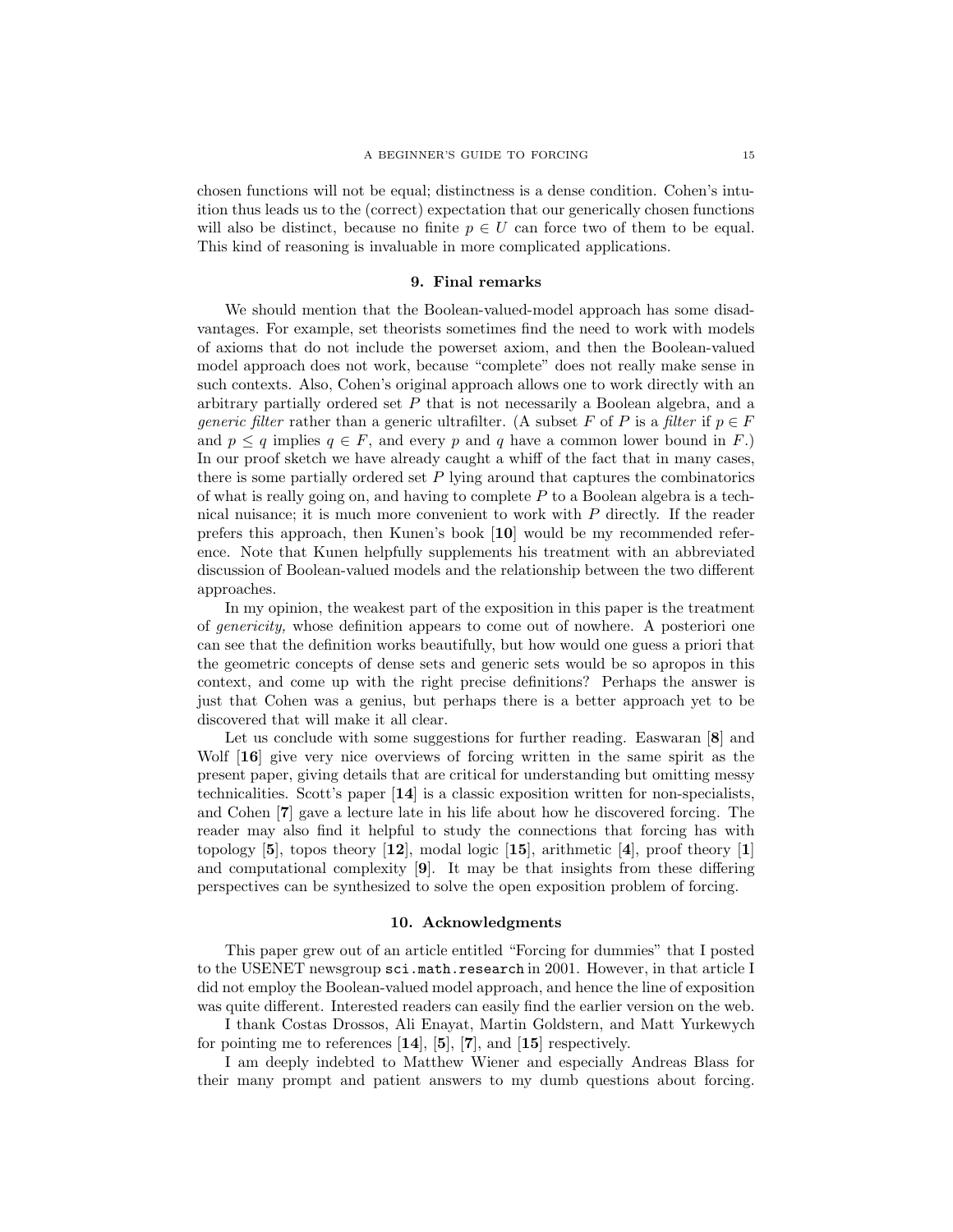chosen functions will not be equal; distinctness is a dense condition. Cohen's intuition thus leads us to the (correct) expectation that our generically chosen functions will also be distinct, because no finite  $p \in U$  can force two of them to be equal. This kind of reasoning is invaluable in more complicated applications.

## 9. Final remarks

We should mention that the Boolean-valued-model approach has some disadvantages. For example, set theorists sometimes find the need to work with models of axioms that do not include the powerset axiom, and then the Boolean-valued model approach does not work, because "complete" does not really make sense in such contexts. Also, Cohen's original approach allows one to work directly with an arbitrary partially ordered set  $P$  that is not necessarily a Boolean algebra, and a *generic filter* rather than a generic ultrafilter. (A subset F of P is a filter if  $p \in F$ and  $p \leq q$  implies  $q \in F$ , and every p and q have a common lower bound in F.) In our proof sketch we have already caught a whiff of the fact that in many cases, there is some partially ordered set  $P$  lying around that captures the combinatorics of what is really going on, and having to complete  $P$  to a Boolean algebra is a technical nuisance; it is much more convenient to work with P directly. If the reader prefers this approach, then Kunen's book [10] would be my recommended reference. Note that Kunen helpfully supplements his treatment with an abbreviated discussion of Boolean-valued models and the relationship between the two different approaches.

In my opinion, the weakest part of the exposition in this paper is the treatment of genericity, whose definition appears to come out of nowhere. A posteriori one can see that the definition works beautifully, but how would one guess a priori that the geometric concepts of dense sets and generic sets would be so apropos in this context, and come up with the right precise definitions? Perhaps the answer is just that Cohen was a genius, but perhaps there is a better approach yet to be discovered that will make it all clear.

Let us conclude with some suggestions for further reading. Easwaran [8] and Wolf  $[16]$  give very nice overviews of forcing written in the same spirit as the present paper, giving details that are critical for understanding but omitting messy technicalities. Scott's paper [14] is a classic exposition written for non-specialists, and Cohen [7] gave a lecture late in his life about how he discovered forcing. The reader may also find it helpful to study the connections that forcing has with topology [5], topos theory  $[12]$ , modal logic [15], arithmetic [4], proof theory [1] and computational complexity [9]. It may be that insights from these differing perspectives can be synthesized to solve the open exposition problem of forcing.

### 10. Acknowledgments

This paper grew out of an article entitled "Forcing for dummies" that I posted to the USENET newsgroup sci.math.research in 2001. However, in that article I did not employ the Boolean-valued model approach, and hence the line of exposition was quite different. Interested readers can easily find the earlier version on the web.

I thank Costas Drossos, Ali Enayat, Martin Goldstern, and Matt Yurkewych for pointing me to references  $[14]$ ,  $[5]$ ,  $[7]$ , and  $[15]$  respectively.

I am deeply indebted to Matthew Wiener and especially Andreas Blass for their many prompt and patient answers to my dumb questions about forcing.